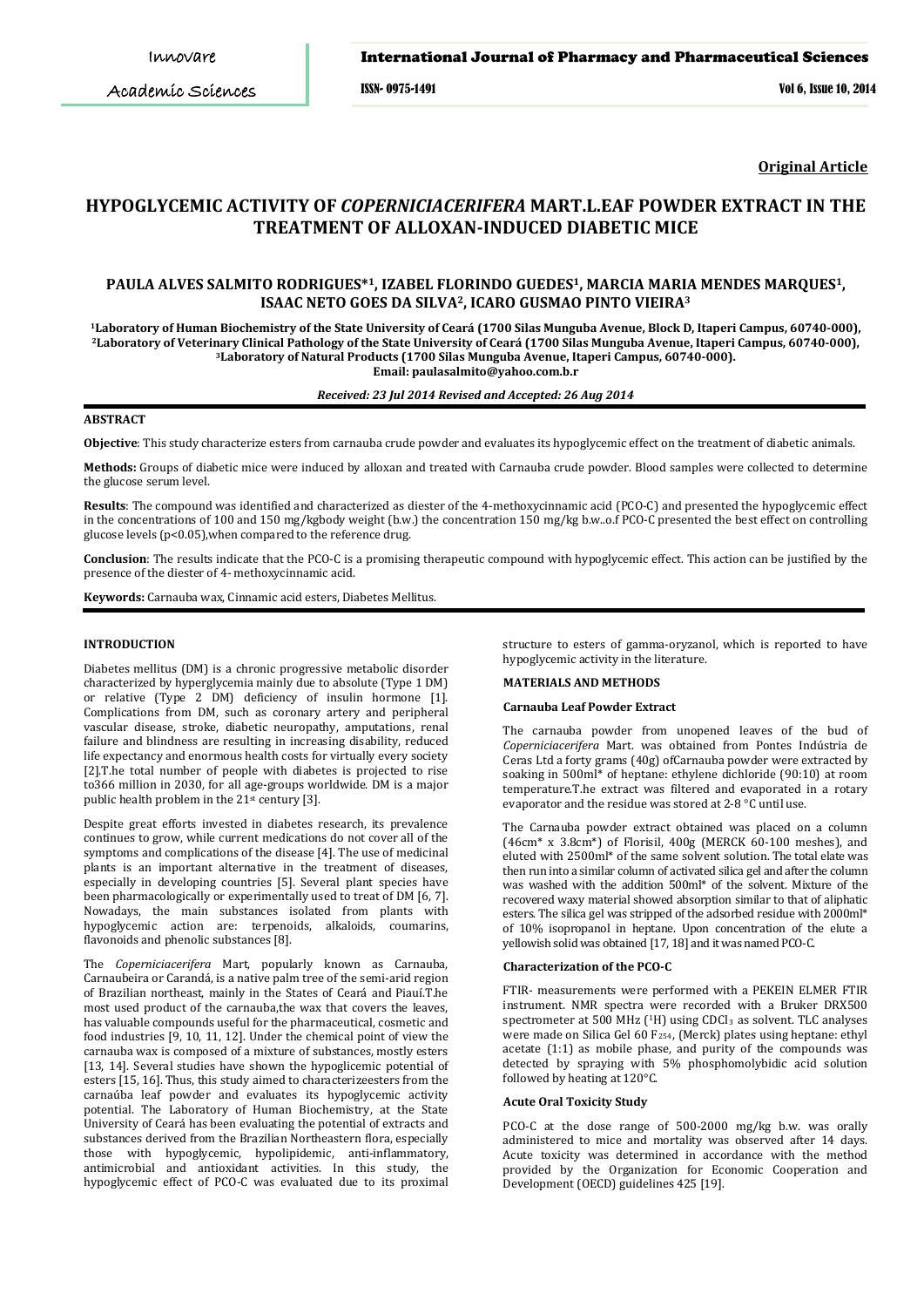Academic Sciences

## International Journal of Pharmacy and Pharmaceutical Sciences

ISSN- 0975-1491 Vol 6, Issue 10, 2014

**Original Article**

# **HYPOGLYCEMIC ACTIVITY OF** *COPERNICIACERIFERA* **MART.L.EAF POWDER EXTRACT IN THE TREATMENT OF ALLOXAN-INDUCED DIABETIC MICE**

# **PAULA ALVES SALMITO RODRIGUES\*1, IZABEL FLORINDO GUEDES1, MARCIA MARIA MENDES MARQUES1, ISAAC NETO GOES DA SILVA2, ICARO GUSMAO PINTO VIEIRA<sup>3</sup>**

**Laboratory of Human Biochemistry of the State University of Ceará (1700 Silas Munguba Avenue, Block D, Itaperi Campus, 60740-000), Laboratory of Veterinary Clinical Pathology of the State University of Ceará (1700 Silas Munguba Avenue, Itaperi Campus, 60740-000), Laboratory of Natural Products (1700 Silas Munguba Avenue, Itaperi Campus, 60740-000). Email: paulasalmito@yahoo.com.b.r**

#### *Received: 23 Jul 2014 Revised and Accepted: 26 Aug 2014*

# **ABSTRACT**

**Objective**: This study characterize esters from carnauba crude powder and evaluates its hypoglycemic effect on the treatment of diabetic animals.

**Methods:** Groups of diabetic mice were induced by alloxan and treated with Carnauba crude powder. Blood samples were collected to determine the glucose serum level.

**Results**: The compound was identified and characterized as diester of the 4-methoxycinnamic acid (PCO-C) and presented the hypoglycemic effect in the concentrations of 100 and 150 mg/kgbody weight (b.w.) the concentration 150 mg/kg b.w..o.f PCO-C presented the best effect on controlling glucose levels (p<0.05),when compared to the reference drug.

**Conclusion**: The results indicate that the PCO-C is a promising therapeutic compound with hypoglycemic effect. This action can be justified by the presence of the diester of 4- methoxycinnamic acid.

**Keywords:** Carnauba wax, Cinnamic acid esters, Diabetes Mellitus.

## **INTRODUCTION**

Diabetes mellitus (DM) is a chronic progressive metabolic disorder characterized by hyperglycemia mainly due to absolute (Type 1 DM) or relative (Type 2 DM) deficiency of insulin hormone [1]. Complications from DM, such as coronary artery and peripheral vascular disease, stroke, diabetic neuropathy, amputations, renal failure and blindness are resulting in increasing disability, reduced life expectancy and enormous health costs for virtually every society [2].T.he total number of people with diabetes is projected to rise to366 million in 2030, for all age-groups worldwide. DM is a major public health problem in the  $21^{st}$  century [3].

Despite great efforts invested in diabetes research, its prevalence continues to grow, while current medications do not cover all of the symptoms and complications of the disease [4]. The use of medicinal plants is an important alternative in the treatment of diseases, especially in developing countries [5]. Several plant species have been pharmacologically or experimentally used to treat of DM [6, 7]. Nowadays, the main substances isolated from plants with hypoglycemic action are: terpenoids, alkaloids, coumarins, flavonoids and phenolic substances [8].

The *Coperniciacerifera* Mart, popularly known as Carnauba, Carnaubeira or Carandá, is a native palm tree of the semi-arid region of Brazilian northeast, mainly in the States of Ceará and Piauí.T.he most used product of the carnauba,the wax that covers the leaves, has valuable compounds useful for the pharmaceutical, cosmetic and food industries [9, 10, 11, 12]. Under the chemical point of view the carnauba wax is composed of a mixture of substances, mostly esters [13 , 14]. Several studies have shown the hypoglicemic potential of esters [15, 16]. Thus, this study aimed to characterizeesters from the carnaúba leaf powder and evaluates its hypoglycemic activity potential. The Laboratory of Human Biochemistry, at the State University of Ceará has been evaluating the potential of extracts and substances derived from the Brazilian Northeastern flora, especially those with hypoglycemic, hypolipidemic, anti-inflammatory, antimicrobial and antioxidant activities. In this study, the hypoglycemic effect of PCO-C was evaluated due to its proximal

structure to esters of gamma-oryzanol, which is reported to have hypoglycemic activity in the literature.

#### **MATERIALS AND METHODS**

# **Carnauba Leaf Powder Extract**

The carnauba powder from unopened leaves of the bud of *Coperniciacerifera* Mart. was obtained from Pontes Indústria de Ceras Ltd a forty grams (40g) ofCarnauba powder were extracted by soaking in 500ml\* of heptane: ethylene dichloride (90:10) at room temperature.T.he extract was filtered and evaporated in a rotary evaporator and the residue was stored at 2-8 °C until use.

The Carnauba powder extract obtained was placed on a column  $(46cm^* \times 3.8cm^*)$  of Florisil,  $400g$  (MERCK 60-100 meshes), and eluted with 2500ml\* of the same solvent solution. The total elate was then run into a similar column of activated silica gel and after the column was washed with the addition 500ml\* of the solvent. Mixture of the recovered waxy material showed absorption similar to that of aliphatic esters. The silica gel was stripped of the adsorbed residue with 2000ml\* of 10% isopropanol in heptane. Upon concentration of the elute a yellowish solid was obtained [17, 18] and it was named PCO-C.

#### **Characterization of the PCO-C**

FTIR- measurements were performed with a PEKEIN ELMER FTIR instrument. NMR spectra were recorded with a Bruker DRX500 spectrometer at 500 MHz (1H) using CDCl<sub>3</sub> as solvent. TLC analyses were made on Silica Gel 60 F254 , (Merck) plates using heptane: ethyl acetate (1:1) as mobile phase, and purity of the compounds was detected by spraying with 5% phosphomolybidic acid solution followed by heating at 120°C.

## **Acute Oral Toxicity Study**

PCO-C at the dose range of 500-2000 mg/kg b.w. was orally administered to mice and mortality was observed after 14 days. Acute toxicity was determined in accordance with the method provided by the Organization for Economic Cooperation and Development (OECD) guidelines 425 [19].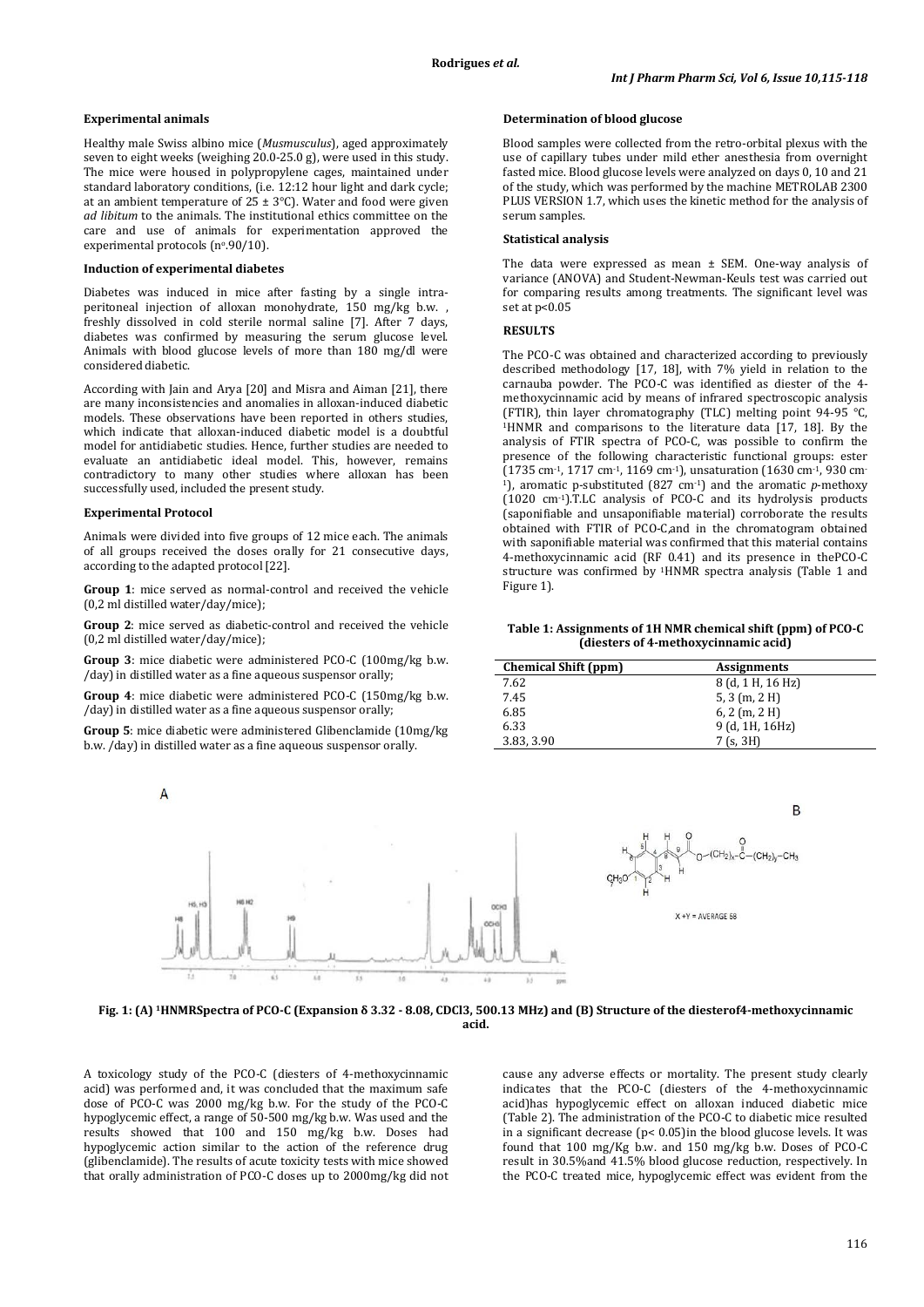#### **Experimental animals**

Healthy male Swiss albino mice (*Musmusculus*), aged approximately seven to eight weeks (weighing 20.0-25.0 g), were used in this study. The mice were housed in polypropylene cages, maintained under standard laboratory conditions, (i.e. 12:12 hour light and dark cycle; at an ambient temperature of  $25 \pm 3$ °C). Water and food were given *ad libitum* to the animals. The institutional ethics committee on the care and use of animals for experimentation approved the experimental protocols ( $n°.90/10$ ).

#### **Induction of experimental diabetes**

Diabetes was induced in mice after fasting by a single intraperitoneal injection of alloxan monohydrate, 150 mg/kg b.w. , freshly dissolved in cold sterile normal saline [7]. After 7 days, diabetes was confirmed by measuring the serum glucose level. Animals with blood glucose levels of more than 180 mg/dl were considered diabetic.

According with Jain and Arya [20] and Misra and Aiman [21], there are many inconsistencies and anomalies in alloxan-induced diabetic models. These observations have been reported in others studies, which indicate that alloxan-induced diabetic model is a doubtful model for antidiabetic studies. Hence, further studies are needed to evaluate an antidiabetic ideal model. This, however, remains contradictory to many other studies where alloxan has been successfully used, included the present study.

# **Experimental Protocol**

Animals were divided into five groups of 12 mice each. The animals of all groups received the doses orally for 21 consecutive days, according to the adapted protocol [22].

**Group 1**: mice served as normal-control and received the vehicle (0,2 ml distilled water/day/mice);

**Group 2**: mice served as diabetic-control and received the vehicle (0,2 ml distilled water/day/mice);

**Group 3**: mice diabetic were administered PCO-C (100mg/kg b.w. /day) in distilled water as a fine aqueous suspensor orally;

**Group 4**: mice diabetic were administered PCO-C (150mg/kg b.w. /day) in distilled water as a fine aqueous suspensor orally;

**Group 5**: mice diabetic were administered Glibenclamide (10mg/kg b.w. /day) in distilled water as a fine aqueous suspensor orally.



Blood samples were collected from the retro-orbital plexus with the use of capillary tubes under mild ether anesthesia from overnight fasted mice. Blood glucose levels were analyzed on days 0, 10 and 21 of the study, which was performed by the machine METROLAB 2300 PLUS VERSION 1.7, which uses the kinetic method for the analysis of serum samples.

#### **Statistical analysis**

The data were expressed as mean ± SEM. One-way analysis of variance (ANOVA) and Student-Newman-Keuls test was carried out for comparing results among treatments. The significant level was set at p<0.05

## **RESULTS**

The PCO-C was obtained and characterized according to previously described methodology [17, 18], with 7% yield in relation to the carnauba powder. The PCO-C was identified as diester of the 4 methoxycinnamic acid by means of infrared spectroscopic analysis (FTIR), thin layer chromatography (TLC) melting point 94-95 °C,  $1$ HNMR and comparisons to the literature data [17, 18]. By the analysis of FTIR spectra of PCO-C, was possible to confirm the presence of the following characteristic functional groups: ester  $(1735 \text{ cm}^{-1}, 1717 \text{ cm}^{-1}, 1169 \text{ cm}^{-1})$ , unsaturation  $(1630 \text{ cm}^{-1}, 930 \text{ cm}^{-1})$ 1), aromatic p-substituted (827 cm-1) and the aromatic *p*-methoxy (1020 cm-1).T.LC analysis of PCO-C and its hydrolysis products (saponifiable and unsaponifiable material) corroborate the results obtained with FTIR of PCO-C,and in the chromatogram obtained with saponifiable material was confirmed that this material contains 4-methoxycinnamic acid (RF 0.41) and its presence in thePCO-C structure was confirmed by 1 HNMR spectra analysis (Table 1 and Figure 1).

#### **Table 1: Assignments of 1H NMR chemical shift (ppm) of PCO-C (diesters of 4-methoxycinnamic acid)**

| <b>Chemical Shift (ppm)</b> | <b>Assignments</b> |  |
|-----------------------------|--------------------|--|
| 7.62                        | 8 (d, 1 H, 16 Hz)  |  |
| 7.45                        | 5, 3 (m, 2 H)      |  |
| 6.85                        | $6, 2$ (m, 2 H)    |  |
| 6.33                        | 9 (d, 1H, 16Hz)    |  |
| 3.83, 3.90                  | 7 (s, 3H)          |  |



**Fig. 1: (A) 1HNMRSpectra of PCO-C (Expansion δ 3.32 - 8.08, CDCl3, 500.13 MHz) and (B) Structure of the diesterof4-methoxycinnamic acid.**

A toxicology study of the PCO-C (diesters of 4-methoxycinnamic acid) was performed and, it was concluded that the maximum safe dose of PCO-C was 2000 mg/kg b.w. For the study of the PCO-C hypoglycemic effect, a range of 50-500 mg/kg b.w. Was used and the results showed that 100 and 150 mg/kg b.w. Doses had hypoglycemic action similar to the action of the reference drug (glibenclamide). The results of acute toxicity tests with mice showed that orally administration of PCO-C doses up to 2000mg/kg did not

cause any adverse effects or mortality. The present study clearly indicates that the PCO-C (diesters of the 4-methoxycinnamic acid)has hypoglycemic effect on alloxan induced diabetic mice (Table 2). The administration of the PCO-C to diabetic mice resulted in a significant decrease (p< 0.05)in the blood glucose levels. It was found that 100 mg/Kg b.w. and 150 mg/kg b.w. Doses of PCO-C result in 30.5%and 41.5% blood glucose reduction, respectively. In the PCO-C treated mice, hypoglycemic effect was evident from the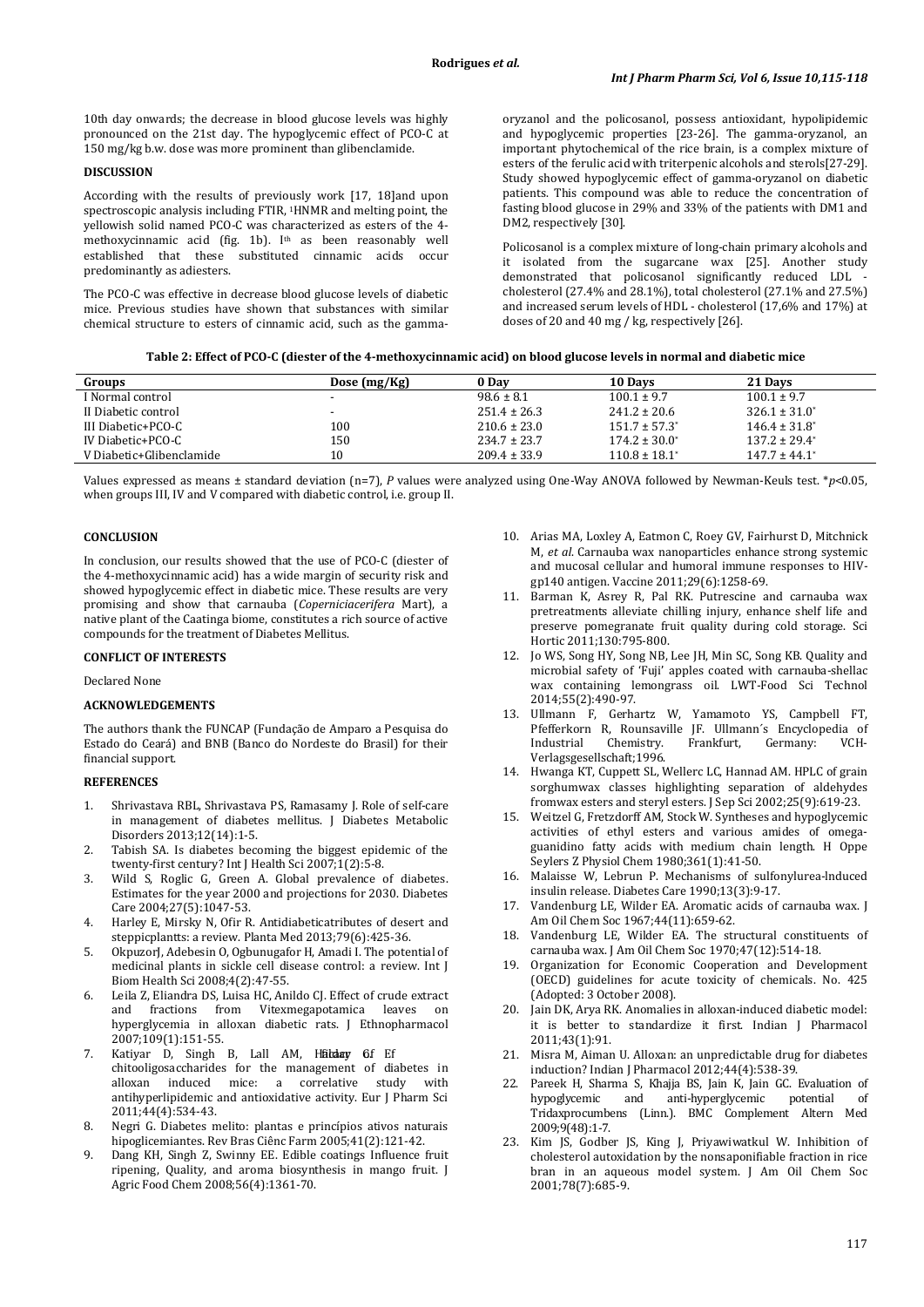10th day onwards; the decrease in blood glucose levels was highly pronounced on the 21st day. The hypoglycemic effect of PCO-C at 150 mg/kg b.w. dose was more prominent than glibenclamide.

#### **DISCUSSION**

According with the results of previously work [17, 18]and upon spectroscopic analysis including FTIR, 1HNMR and melting point, the yellowish solid named PCO-C was characterized as esters of the 4 methoxycinnamic acid (fig. 1b). Ith as been reasonably well established that these substituted cinnamic acids occur predominantly as adiesters.

The PCO-C was effective in decrease blood glucose levels of diabetic mice. Previous studies have shown that substances with similar chemical structure to esters of cinnamic acid, such as the gammaoryzanol and the policosanol, possess antioxidant, hypolipidemic and hypoglycemic properties [23-26]. The gamma-oryzanol, an important phytochemical of the rice brain, is a complex mixture of esters of the ferulic acid with triterpenic alcohols and sterols[27-29]. Study showed hypoglycemic effect of gamma-oryzanol on diabetic patients. This compound was able to reduce the concentration of fasting blood glucose in 29% and 33% of the patients with DM1 and DM2, respectively [30].

Policosanol is a complex mixture of long-chain primary alcohols and it isolated from the sugarcane wax [25]. Another study demonstrated that policosanol significantly reduced LDL cholesterol (27.4% and 28.1%), total cholesterol (27.1% and 27.5%) and increased serum levels of HDL - cholesterol (17,6% and 17%) at doses of 20 and 40 mg / kg, respectively [26].

|  |  | Table 2: Effect of PCO-C (diester of the 4-methoxycinnamic acid) on blood glucose levels in normal and diabetic mice |
|--|--|----------------------------------------------------------------------------------------------------------------------|
|--|--|----------------------------------------------------------------------------------------------------------------------|

| Groups                   | Dose $(mg/Kg)$ | 0 Day            | 10 Davs            | 21 Days            |
|--------------------------|----------------|------------------|--------------------|--------------------|
| I Normal control         |                | $98.6 \pm 8.1$   | $100.1 \pm 9.7$    | $100.1 \pm 9.7$    |
| II Diabetic control      | $\sim$         | $251.4 \pm 26.3$ | $241.2 \pm 20.6$   | $326.1 \pm 31.0^*$ |
| III Diabetic+PCO-C       | 100            | $210.6 \pm 23.0$ | $151.7 \pm 57.3^*$ | $146.4 \pm 31.8^*$ |
| IV Diabetic+PCO-C        | 150            | $234.7 \pm 23.7$ | $174.2 \pm 30.0^*$ | $137.2 \pm 29.4^*$ |
| V Diabetic+Glibenclamide | 10             | $209.4 \pm 33.9$ | $110.8 \pm 18.1^*$ | $147.7 \pm 44.1^*$ |

Values expressed as means ± standard deviation (n=7), *P* values were analyzed using One-Way ANOVA followed by Newman-Keuls test. \**p*<0.05, when groups III, IV and V compared with diabetic control, i.e. group II.

# **CONCLUSION**

In conclusion, our results showed that the use of PCO-C (diester of the 4-methoxycinnamic acid) has a wide margin of security risk and showed hypoglycemic effect in diabetic mice. These results are very promising and show that carnauba (*Coperniciacerifera* Mart), a native plant of the Caatinga biome, constitutes a rich source of active compounds for the treatment of Diabetes Mellitus.

### **CONFLICT OF INTERESTS**

Declared None

# **ACKNOWLEDGEMENTS**

The authors thank the FUNCAP (Fundação de Amparo a Pesquisa do Estado do Ceará) and BNB (Banco do Nordeste do Brasil) for their financial support.

#### **REFERENCES**

- 1. Shrivastava RBL, Shrivastava PS, Ramasamy J. Role of self-care in management of diabetes mellitus. J Diabetes Metabolic Disorders 2013;12(14):1-5.
- 2. Tabish SA. Is diabetes becoming the biggest epidemic of the twenty-first century? Int J Health Sci 2007;1(2):5-8.
- 3. Wild S, Roglic G, Green A. Global prevalence of diabetes. Estimates for the year 2000 and projections for 2030. Diabetes Care 2004;27(5):1047-53.
- 4. Harley E, Mirsky N, Ofir R. Antidiabeticatributes of desert and steppicplantts: a review. Planta Med 2013;79(6):425-36.
- 5. OkpuzorJ, Adebesin O, Ogbunugafor H, Amadi I. The potential of medicinal plants in sickle cell disease control: a review. Int J Biom Health Sci 2008;4(2):47-55.
- 6. Leila Z, Eliandra DS, Luisa HC, Anildo CJ. Effect of crude extract fractions from Vitexmegapotamica leaves on hyperglycemia in alloxan diabetic rats. J Ethnopharmacol 2007;109(1):151-55.
- Katiyar D, Singh B, Lall AM, Hadday Gf Ef chitooligosaccharides for the management of diabetes in induced mice: a correlative antihyperlipidemic and antioxidative activity. Eur J Pharm Sci 2011;44(4):534-43.
- 8. Negri G. Diabetes melito: plantas e princípios ativos naturais hipoglicemiantes. Rev Bras Ciênc Farm 2005;41(2):121-42.
- 9. Dang KH, Singh Z, Swinny EE. Edible coatings Influence fruit ripening, Quality, and aroma biosynthesis in mango fruit. J Agric Food Chem 2008;56(4):1361-70.
- 10. Arias MA, Loxley A, Eatmon C, Roey GV, Fairhurst D, Mitchnick M, *et al*. Carnauba wax nanoparticles enhance strong systemic and mucosal cellular and humoral immune responses to HIVgp140 antigen. Vaccine 2011;29(6):1258-69.
- 11. Barman K, Asrey R, Pal RK. Putrescine and carnauba wax pretreatments alleviate chilling injury, enhance shelf life and preserve pomegranate fruit quality during cold storage. Sci Hortic 2011;130:795-800.
- 12. Jo WS, Song HY, Song NB, Lee JH, Min SC, Song KB. Quality and microbial safety of 'Fuji' apples coated with carnauba-shellac wax containing lemongrass oil. LWT-Food Sci Technol 2014;55(2):490-97.
- 13. Ullmann F, Gerhartz W, Yamamoto YS, Campbell FT, Pfefferkorn R, Rounsaville JF. Ullmann´s Encyclopedia of Industrial Chemistry. Frankfurt, Germany: VCH-Chemistry. Verlagsgesellschaft;1996.
- 14. Hwanga KT, Cuppett SL, Wellerc LC, Hannad AM. HPLC of grain sorghumwax classes highlighting separation of aldehydes fromwax esters and steryl esters. J Sep Sci 2002;25(9):619-23.
- 15. Weitzel G, Fretzdorff AM, Stock W. Syntheses and hypoglycemic activities of ethyl esters and various amides of omegaguanidino fatty acids with medium chain length. H Oppe Seylers Z Physiol Chem 1980; 361(1):41-50.
- Malaisse W, Lebrun P. Mechanisms of sulfonylurea-lnduced insulin release. Diabetes Care 1990;13(3):9-17.
- 17. Vandenburg LE, Wilder EA. Aromatic acids of carnauba wax. J Am Oil Chem Soc 1967;44(11):659-62.
- 18. Vandenburg LE, Wilder EA. The structural constituents of carnauba wax. J Am Oil Chem Soc 1970;47(12):514-18.
- 19. Organization for Economic Cooperation and Development (OECD) guidelines for acute toxicity of chemicals. No. 425 (Adopted: 3 October 2008).
- 20. Jain DK, Arya RK. Anomalies in alloxan-induced diabetic model: it is better to standardize it first. Indian J Pharmacol 2011;43(1) :91.
- 21. Misra M, Aiman U. Alloxan: an unpredictable drug for diabetes induction? Indian J Pharmacol 2012;44(4):538-39.
- 22. Pareek H, Sharma S, Khajja BS, Jain K, Jain GC. Evaluation of anti-hyperglycemic Tridaxprocumbens (Linn.). BMC Complement Altern Med 2009;9(48):1-7.
- 23. Kim JS, Godber JS, King J, Priyawiwatkul W. Inhibition of cholesterol autoxidation by the nonsaponifiable fraction in rice bran in an aqueous model system. J Am Oil Chem Soc 2001;78(7):685-9.